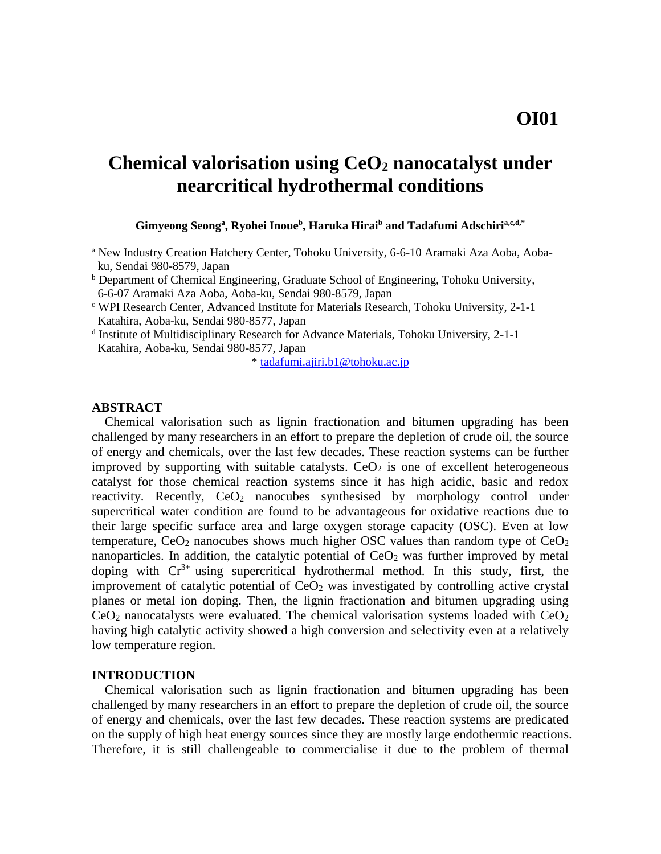# **Chemical valorisation using CeO<sup>2</sup> nanocatalyst under nearcritical hydrothermal conditions**

**Gimyeong Seong<sup>a</sup> , Ryohei Inoue<sup>b</sup> , Haruka Hirai<sup>b</sup> and Tadafumi Adschiria,c,d,\***

- <sup>a</sup> New Industry Creation Hatchery Center, Tohoku University, 6-6-10 Aramaki Aza Aoba, Aobaku, Sendai 980-8579, Japan
- <sup>b</sup> Department of Chemical Engineering, Graduate School of Engineering, Tohoku University, 6-6-07 Aramaki Aza Aoba, Aoba-ku, Sendai 980-8579, Japan
- <sup>c</sup> WPI Research Center, Advanced Institute for Materials Research, Tohoku University, 2-1-1 Katahira, Aoba-ku, Sendai 980-8577, Japan
- d Institute of Multidisciplinary Research for Advance Materials, Tohoku University, 2-1-1 Katahira, Aoba-ku, Sendai 980-8577, Japan

\* [tadafumi.ajiri.b1@tohoku.ac.jp](mailto:tadafumi.ajiri.b1@tohoku.ac.jp)

#### **ABSTRACT**

Chemical valorisation such as lignin fractionation and bitumen upgrading has been challenged by many researchers in an effort to prepare the depletion of crude oil, the source of energy and chemicals, over the last few decades. These reaction systems can be further improved by supporting with suitable catalysts.  $CeO<sub>2</sub>$  is one of excellent heterogeneous catalyst for those chemical reaction systems since it has high acidic, basic and redox reactivity. Recently,  $CeO<sub>2</sub>$  nanocubes synthesised by morphology control under supercritical water condition are found to be advantageous for oxidative reactions due to their large specific surface area and large oxygen storage capacity (OSC). Even at low temperature,  $CeO<sub>2</sub>$  nanocubes shows much higher OSC values than random type of  $CeO<sub>2</sub>$ nanoparticles. In addition, the catalytic potential of  $CeO<sub>2</sub>$  was further improved by metal doping with  $Cr^{3+}$  using supercritical hydrothermal method. In this study, first, the improvement of catalytic potential of  $CeO<sub>2</sub>$  was investigated by controlling active crystal planes or metal ion doping. Then, the lignin fractionation and bitumen upgrading using  $CeO<sub>2</sub>$  nanocatalysts were evaluated. The chemical valorisation systems loaded with  $CeO<sub>2</sub>$ having high catalytic activity showed a high conversion and selectivity even at a relatively low temperature region.

## **INTRODUCTION**

Chemical valorisation such as lignin fractionation and bitumen upgrading has been challenged by many researchers in an effort to prepare the depletion of crude oil, the source of energy and chemicals, over the last few decades. These reaction systems are predicated on the supply of high heat energy sources since they are mostly large endothermic reactions. Therefore, it is still challengeable to commercialise it due to the problem of thermal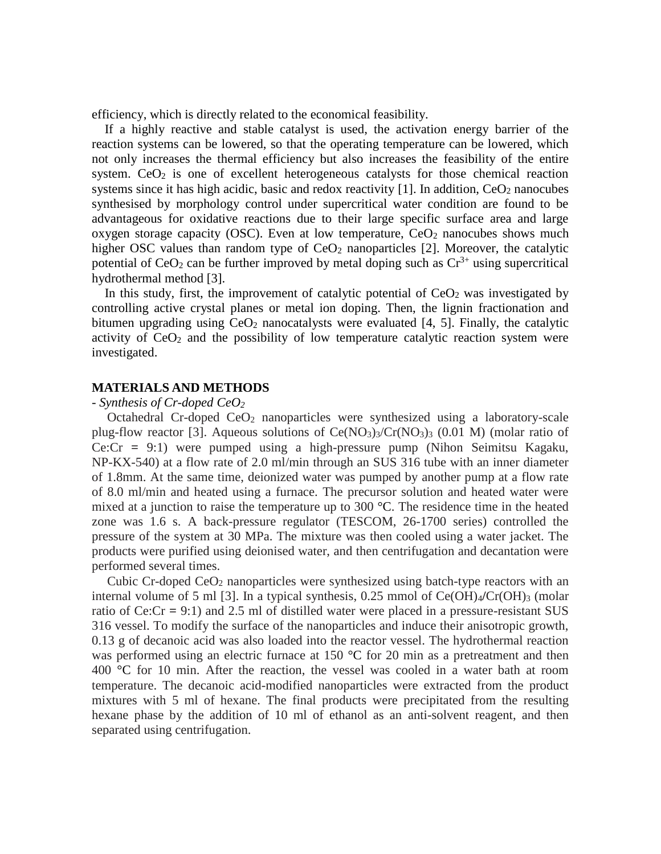efficiency, which is directly related to the economical feasibility.

If a highly reactive and stable catalyst is used, the activation energy barrier of the reaction systems can be lowered, so that the operating temperature can be lowered, which not only increases the thermal efficiency but also increases the feasibility of the entire system.  $CeO<sub>2</sub>$  is one of excellent heterogeneous catalysts for those chemical reaction systems since it has high acidic, basic and redox reactivity [1]. In addition,  $CeO<sub>2</sub>$  nanocubes synthesised by morphology control under supercritical water condition are found to be advantageous for oxidative reactions due to their large specific surface area and large oxygen storage capacity (OSC). Even at low temperature,  $CeO<sub>2</sub>$  nanocubes shows much higher OSC values than random type of  $CeO<sub>2</sub>$  nanoparticles [2]. Moreover, the catalytic potential of  $CeO<sub>2</sub>$  can be further improved by metal doping such as  $Cr<sup>3+</sup>$  using supercritical hydrothermal method [3].

In this study, first, the improvement of catalytic potential of  $CeO<sub>2</sub>$  was investigated by controlling active crystal planes or metal ion doping. Then, the lignin fractionation and bitumen upgrading using  $CeO<sub>2</sub>$  nanocatalysts were evaluated [4, 5]. Finally, the catalytic activity of  $CeO<sub>2</sub>$  and the possibility of low temperature catalytic reaction system were investigated.

## **MATERIALS AND METHODS**

## - *Synthesis of Cr-doped CeO<sup>2</sup>*

Octahedral Cr-doped  $CeO<sub>2</sub>$  nanoparticles were synthesized using a laboratory-scale plug-flow reactor [3]. Aqueous solutions of  $Ce(NO<sub>3</sub>)<sub>3</sub>/Cr(NO<sub>3</sub>)<sub>3</sub>$  (0.01 M) (molar ratio of Ce:Cr **=** 9:1) were pumped using a high-pressure pump (Nihon Seimitsu Kagaku, NP-KX-540) at a flow rate of 2.0 ml/min through an SUS 316 tube with an inner diameter of 1.8mm. At the same time, deionized water was pumped by another pump at a flow rate of 8.0 ml/min and heated using a furnace. The precursor solution and heated water were mixed at a junction to raise the temperature up to 300 °C. The residence time in the heated zone was 1.6 s. A back-pressure regulator (TESCOM, 26-1700 series) controlled the pressure of the system at 30 MPa. The mixture was then cooled using a water jacket. The products were purified using deionised water, and then centrifugation and decantation were performed several times.

Cubic Cr-doped CeO<sup>2</sup> nanoparticles were synthesized using batch-type reactors with an internal volume of 5 ml [3]. In a typical synthesis, 0.25 mmol of Ce(OH)<sub>4</sub>/Cr(OH)<sub>3</sub> (molar ratio of Ce:Cr **=** 9:1) and 2.5 ml of distilled water were placed in a pressure-resistant SUS 316 vessel. To modify the surface of the nanoparticles and induce their anisotropic growth, 0.13 g of decanoic acid was also loaded into the reactor vessel. The hydrothermal reaction was performed using an electric furnace at 150 °C for 20 min as a pretreatment and then 400 °C for 10 min. After the reaction, the vessel was cooled in a water bath at room temperature. The decanoic acid-modified nanoparticles were extracted from the product mixtures with 5 ml of hexane. The final products were precipitated from the resulting hexane phase by the addition of 10 ml of ethanol as an anti-solvent reagent, and then separated using centrifugation.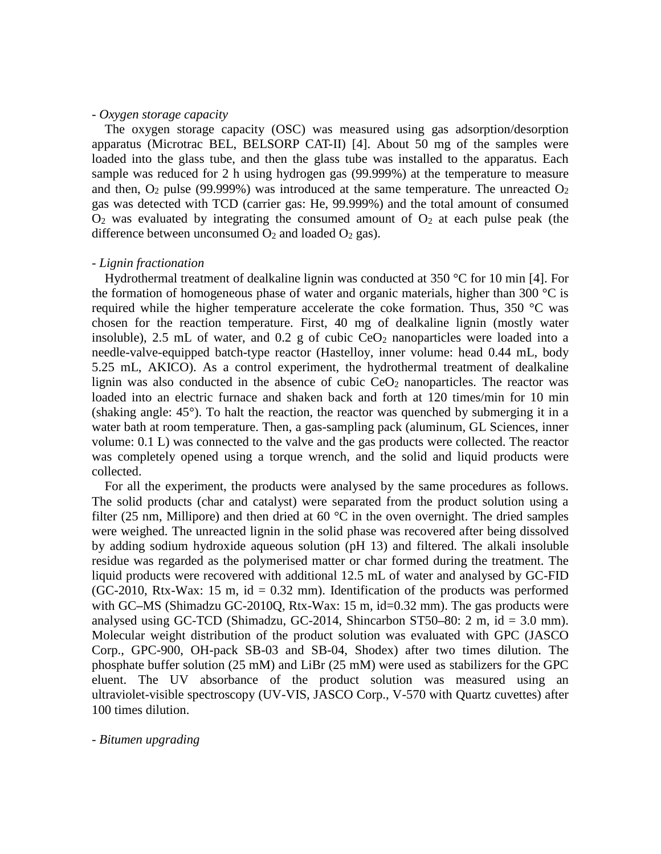## - *Oxygen storage capacity*

The oxygen storage capacity (OSC) was measured using gas adsorption/desorption apparatus (Microtrac BEL, BELSORP CAT-II) [4]. About 50 mg of the samples were loaded into the glass tube, and then the glass tube was installed to the apparatus. Each sample was reduced for 2 h using hydrogen gas (99.999%) at the temperature to measure and then,  $O_2$  pulse (99.999%) was introduced at the same temperature. The unreacted  $O_2$ gas was detected with TCD (carrier gas: He, 99.999%) and the total amount of consumed  $O<sub>2</sub>$  was evaluated by integrating the consumed amount of  $O<sub>2</sub>$  at each pulse peak (the difference between unconsumed  $O_2$  and loaded  $O_2$  gas).

#### - *Lignin fractionation*

Hydrothermal treatment of dealkaline lignin was conducted at 350 °C for 10 min [4]. For the formation of homogeneous phase of water and organic materials, higher than 300  $\degree$ C is required while the higher temperature accelerate the coke formation. Thus, 350 °C was chosen for the reaction temperature. First, 40 mg of dealkaline lignin (mostly water insoluble), 2.5 mL of water, and 0.2 g of cubic  $CeO<sub>2</sub>$  nanoparticles were loaded into a needle-valve-equipped batch-type reactor (Hastelloy, inner volume: head 0.44 mL, body 5.25 mL, AKICO). As a control experiment, the hydrothermal treatment of dealkaline lignin was also conducted in the absence of cubic  $CeO<sub>2</sub>$  nanoparticles. The reactor was loaded into an electric furnace and shaken back and forth at 120 times/min for 10 min (shaking angle: 45°). To halt the reaction, the reactor was quenched by submerging it in a water bath at room temperature. Then, a gas-sampling pack (aluminum, GL Sciences, inner volume: 0.1 L) was connected to the valve and the gas products were collected. The reactor was completely opened using a torque wrench, and the solid and liquid products were collected.

For all the experiment, the products were analysed by the same procedures as follows. The solid products (char and catalyst) were separated from the product solution using a filter (25 nm, Millipore) and then dried at 60  $^{\circ}$ C in the oven overnight. The dried samples were weighed. The unreacted lignin in the solid phase was recovered after being dissolved by adding sodium hydroxide aqueous solution (pH 13) and filtered. The alkali insoluble residue was regarded as the polymerised matter or char formed during the treatment. The liquid products were recovered with additional 12.5 mL of water and analysed by GC-FID (GC-2010, Rtx-Wax: 15 m,  $id = 0.32$  mm). Identification of the products was performed with GC–MS (Shimadzu GC-2010Q, Rtx-Wax: 15 m, id=0.32 mm). The gas products were analysed using GC-TCD (Shimadzu, GC-2014, Shincarbon ST50**–**80: 2 m, id = 3.0 mm). Molecular weight distribution of the product solution was evaluated with GPC (JASCO Corp., GPC-900, OH-pack SB-03 and SB-04, Shodex) after two times dilution. The phosphate buffer solution (25 mM) and LiBr (25 mM) were used as stabilizers for the GPC eluent. The UV absorbance of the product solution was measured using an ultraviolet-visible spectroscopy (UV-VIS, JASCO Corp., V-570 with Quartz cuvettes) after 100 times dilution.

#### - *Bitumen upgrading*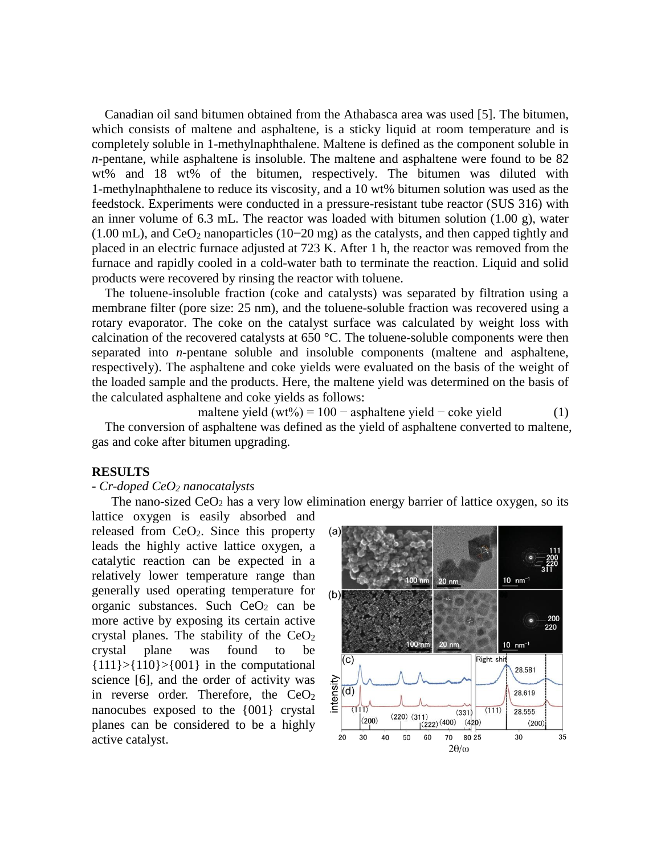Canadian oil sand bitumen obtained from the Athabasca area was used [5]. The bitumen, which consists of maltene and asphaltene, is a sticky liquid at room temperature and is completely soluble in 1-methylnaphthalene. Maltene is defined as the component soluble in *n*-pentane, while asphaltene is insoluble. The maltene and asphaltene were found to be 82 wt% and 18 wt% of the bitumen, respectively. The bitumen was diluted with 1-methylnaphthalene to reduce its viscosity, and a 10 wt% bitumen solution was used as the feedstock. Experiments were conducted in a pressure-resistant tube reactor (SUS 316) with an inner volume of 6.3 mL. The reactor was loaded with bitumen solution (1.00 g), water (1.00 mL), and CeO<sup>2</sup> nanoparticles (10**−**20 mg) as the catalysts, and then capped tightly and placed in an electric furnace adjusted at 723 K. After 1 h, the reactor was removed from the furnace and rapidly cooled in a cold-water bath to terminate the reaction. Liquid and solid products were recovered by rinsing the reactor with toluene.

The toluene-insoluble fraction (coke and catalysts) was separated by filtration using a membrane filter (pore size: 25 nm), and the toluene-soluble fraction was recovered using a rotary evaporator. The coke on the catalyst surface was calculated by weight loss with calcination of the recovered catalysts at 650 **°**C. The toluene-soluble components were then separated into *n*-pentane soluble and insoluble components (maltene and asphaltene, respectively). The asphaltene and coke yields were evaluated on the basis of the weight of the loaded sample and the products. Here, the maltene yield was determined on the basis of the calculated asphaltene and coke yields as follows:

maltene yield  $(wt\%) = 100 -$  asphaltene yield  $-\csc$  yield (1) The conversion of asphaltene was defined as the yield of asphaltene converted to maltene, gas and coke after bitumen upgrading.

#### **RESULTS**

## **-** *Cr-doped CeO<sup>2</sup> nanocatalysts*

The nano-sized  $CeO<sub>2</sub>$  has a very low elimination energy barrier of lattice oxygen, so its

lattice oxygen is easily absorbed and released from  $CeO<sub>2</sub>$ . Since this property leads the highly active lattice oxygen, a catalytic reaction can be expected in a relatively lower temperature range than generally used operating temperature for organic substances. Such  $CeO<sub>2</sub>$  can be more active by exposing its certain active crystal planes. The stability of the  $CeO<sub>2</sub>$ crystal plane was found to be  ${111} > {110} > {001}$  in the computational science [6], and the order of activity was in reverse order. Therefore, the  $CeO<sub>2</sub>$ nanocubes exposed to the {001} crystal planes can be considered to be a highly active catalyst.

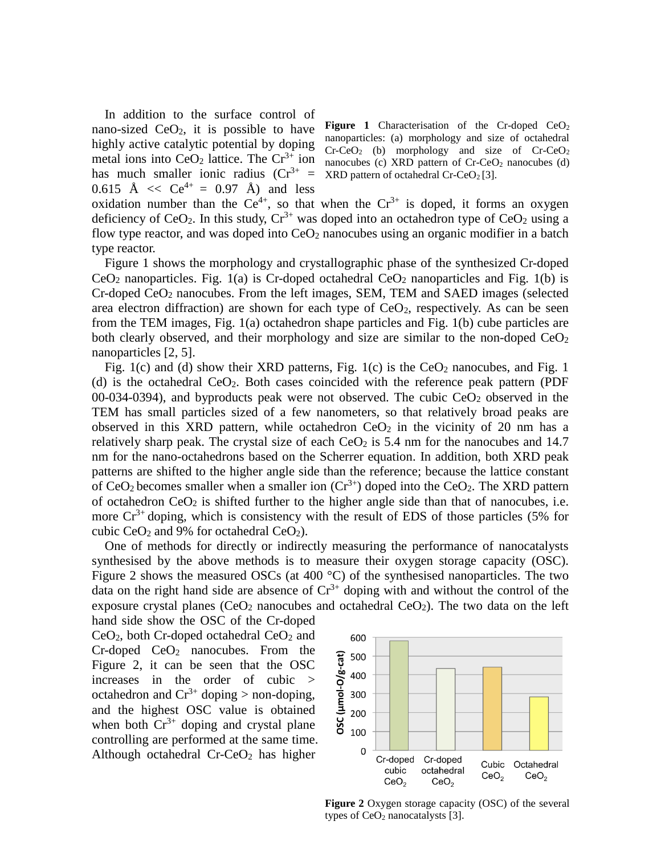In addition to the surface control of nano-sized  $CeO<sub>2</sub>$ , it is possible to have highly active catalytic potential by doping metal ions into  $CeO<sub>2</sub>$  lattice. The  $Cr<sup>3+</sup>$  ion has much smaller ionic radius  $(Cr^{3+} =$ 0.615 Å  $\langle$  Ce<sup>4+</sup> = 0.97 Å) and less

**Figure 1** Characterisation of the Cr-doped  $CeO<sub>2</sub>$ nanoparticles: (a) morphology and size of octahedral  $Cr-CeO<sub>2</sub>$  (b) morphology and size of  $Cr-CeO<sub>2</sub>$ nanocubes (c) XRD pattern of  $Cr-CeO<sub>2</sub>$  nanocubes (d)  $XRD$  pattern of octahedral Cr-CeO<sub>2</sub> [3].

oxidation number than the  $Ce^{4+}$ , so that when the  $Cr^{3+}$  is doped, it forms an oxygen deficiency of CeO<sub>2</sub>. In this study,  $Cr^{3+}$  was doped into an octahedron type of CeO<sub>2</sub> using a flow type reactor, and was doped into  $CeO<sub>2</sub>$  nanocubes using an organic modifier in a batch type reactor.

Figure 1 shows the morphology and crystallographic phase of the synthesized Cr-doped  $CeO<sub>2</sub>$  nanoparticles. Fig. 1(a) is Cr-doped octahedral  $CeO<sub>2</sub>$  nanoparticles and Fig. 1(b) is  $Cr$ -doped  $CeO<sub>2</sub>$  nanocubes. From the left images, SEM, TEM and SAED images (selected area electron diffraction) are shown for each type of  $CeO<sub>2</sub>$ , respectively. As can be seen from the TEM images, Fig. 1(a) octahedron shape particles and Fig. 1(b) cube particles are both clearly observed, and their morphology and size are similar to the non-doped  $CeO<sub>2</sub>$ nanoparticles [2, 5].

Fig. 1(c) and (d) show their XRD patterns, Fig. 1(c) is the  $CeO<sub>2</sub>$  nanocubes, and Fig. 1 (d) is the octahedral  $CeO<sub>2</sub>$ . Both cases coincided with the reference peak pattern (PDF  $00-034-0394$ ), and byproducts peak were not observed. The cubic  $CeO<sub>2</sub>$  observed in the TEM has small particles sized of a few nanometers, so that relatively broad peaks are observed in this XRD pattern, while octahedron  $CeO<sub>2</sub>$  in the vicinity of 20 nm has a relatively sharp peak. The crystal size of each  $CeO<sub>2</sub>$  is 5.4 nm for the nanocubes and 14.7 nm for the nano-octahedrons based on the Scherrer equation. In addition, both XRD peak patterns are shifted to the higher angle side than the reference; because the lattice constant of CeO<sub>2</sub> becomes smaller when a smaller ion  $(Cr^{3+})$  doped into the CeO<sub>2</sub>. The XRD pattern of octahedron  $CeO<sub>2</sub>$  is shifted further to the higher angle side than that of nanocubes, i.e. more  $Cr^{3+}$  doping, which is consistency with the result of EDS of those particles (5% for cubic  $CeO<sub>2</sub>$  and 9% for octahedral  $CeO<sub>2</sub>$ ).

One of methods for directly or indirectly measuring the performance of nanocatalysts synthesised by the above methods is to measure their oxygen storage capacity (OSC). Figure 2 shows the measured OSCs (at 400 °C) of the synthesised nanoparticles. The two data on the right hand side are absence of  $Cr^{3+}$  doping with and without the control of the exposure crystal planes ( $CeO<sub>2</sub>$  nanocubes and octahedral  $CeO<sub>2</sub>$ ). The two data on the left

hand side show the OSC of the Cr-doped  $CeO<sub>2</sub>$ , both Cr-doped octahedral  $CeO<sub>2</sub>$  and Cr-doped CeO<sup>2</sup> nanocubes. From the Figure 2, it can be seen that the OSC increases in the order of cubic > octahedron and  $Cr^{3+}$  doping > non-doping, and the highest OSC value is obtained when both  $Cr^{3+}$  doping and crystal plane controlling are performed at the same time. Although octahedral  $Cr-CeO<sub>2</sub>$  has higher



**Figure 2** Oxygen storage capacity (OSC) of the several types of  $CeO<sub>2</sub>$  nanocatalysts [3].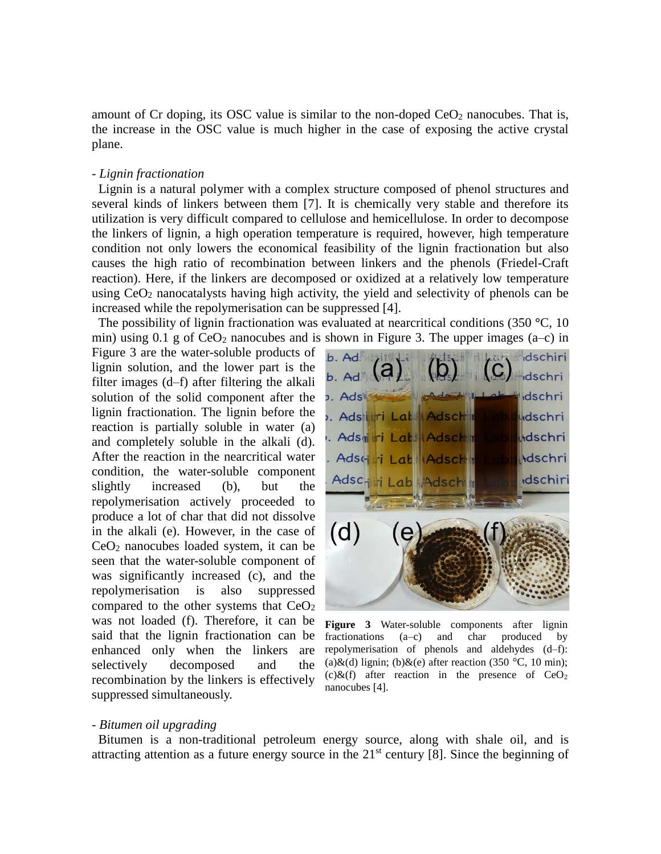amount of Cr doping, its OSC value is similar to the non-doped  $CeO<sub>2</sub>$  nanocubes. That is, the increase in the OSC value is much higher in the case of exposing the active crystal plane.

#### - *Lignin fractionation*

Lignin is a natural polymer with a complex structure composed of phenol structures and several kinds of linkers between them [7]. It is chemically very stable and therefore its utilization is very difficult compared to cellulose and hemicellulose. In order to decompose the linkers of lignin, a high operation temperature is required, however, high temperature condition not only lowers the economical feasibility of the lignin fractionation but also causes the high ratio of recombination between linkers and the phenols (Friedel-Craft reaction). Here, if the linkers are decomposed or oxidized at a relatively low temperature using  $CeO<sub>2</sub>$  nanocatalysts having high activity, the yield and selectivity of phenols can be increased while the repolymerisation can be suppressed [4].

The possibility of lignin fractionation was evaluated at nearcritical conditions (350 **°**C, 10 min) using 0.1 g of  $CeO<sub>2</sub>$  nanocubes and is shown in Figure 3. The upper images (a–c) in

Figure 3 are the water-soluble products of lignin solution, and the lower part is the filter images (d–f) after filtering the alkali solution of the solid component after the lignin fractionation. The lignin before the reaction is partially soluble in water (a) and completely soluble in the alkali (d). After the reaction in the nearcritical water condition, the water-soluble component slightly increased (b), but the repolymerisation actively proceeded to produce a lot of char that did not dissolve in the alkali (e). However, in the case of CeO<sup>2</sup> nanocubes loaded system, it can be seen that the water-soluble component of was significantly increased (c), and the repolymerisation is also suppressed compared to the other systems that  $CeO<sub>2</sub>$ was not loaded (f). Therefore, it can be said that the lignin fractionation can be enhanced only when the linkers are selectively decomposed and the recombination by the linkers is effectively suppressed simultaneously.



Figure 3 Water-soluble components after lignin fractionations (a–c) and char produced by repolymerisation of phenols and aldehydes (d–f): (a)&(d) lignin; (b)&(e) after reaction (350 °C, 10 min); (c) $\&$ (f) after reaction in the presence of CeO<sub>2</sub> nanocubes [4].

#### - *Bitumen oil upgrading*

Bitumen is a non-traditional petroleum energy source, along with shale oil, and is attracting attention as a future energy source in the  $21<sup>st</sup>$  century [8]. Since the beginning of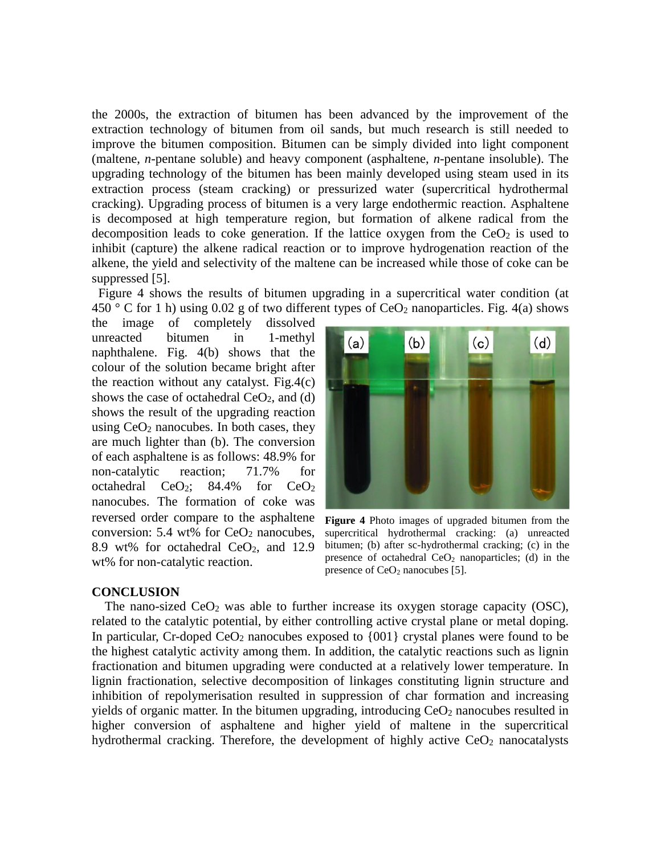the 2000s, the extraction of bitumen has been advanced by the improvement of the extraction technology of bitumen from oil sands, but much research is still needed to improve the bitumen composition. Bitumen can be simply divided into light component (maltene, *n*-pentane soluble) and heavy component (asphaltene, *n*-pentane insoluble). The upgrading technology of the bitumen has been mainly developed using steam used in its extraction process (steam cracking) or pressurized water (supercritical hydrothermal cracking). Upgrading process of bitumen is a very large endothermic reaction. Asphaltene is decomposed at high temperature region, but formation of alkene radical from the decomposition leads to coke generation. If the lattice oxygen from the  $CeO<sub>2</sub>$  is used to inhibit (capture) the alkene radical reaction or to improve hydrogenation reaction of the alkene, the yield and selectivity of the maltene can be increased while those of coke can be suppressed [5].

Figure 4 shows the results of bitumen upgrading in a supercritical water condition (at 450 ° C for 1 h) using 0.02 g of two different types of  $CeO<sub>2</sub>$  nanoparticles. Fig. 4(a) shows

the image of completely dissolved unreacted bitumen in 1-methyl naphthalene. Fig. 4(b) shows that the colour of the solution became bright after the reaction without any catalyst. Fig.4 $(c)$ shows the case of octahedral  $CeO<sub>2</sub>$ , and (d) shows the result of the upgrading reaction using  $CeO<sub>2</sub>$  nanocubes. In both cases, they are much lighter than (b). The conversion of each asphaltene is as follows: 48.9% for non-catalytic reaction; 71.7% for octahedral  $CeO<sub>2</sub>$ ; 84.4% for  $CeO<sub>2</sub>$ nanocubes. The formation of coke was reversed order compare to the asphaltene conversion:  $5.4$  wt% for  $CeO<sub>2</sub>$  nanocubes, 8.9 wt% for octahedral  $CeO<sub>2</sub>$ , and 12.9 wt% for non-catalytic reaction.



**Figure 4** Photo images of upgraded bitumen from the supercritical hydrothermal cracking: (a) unreacted bitumen; (b) after sc-hydrothermal cracking; (c) in the presence of octahedral  $CeO<sub>2</sub>$  nanoparticles; (d) in the presence of CeO<sub>2</sub> nanocubes [5].

#### **CONCLUSION**

The nano-sized  $CeO<sub>2</sub>$  was able to further increase its oxygen storage capacity (OSC), related to the catalytic potential, by either controlling active crystal plane or metal doping. In particular, Cr-doped CeO<sub>2</sub> nanocubes exposed to  $\{001\}$  crystal planes were found to be the highest catalytic activity among them. In addition, the catalytic reactions such as lignin fractionation and bitumen upgrading were conducted at a relatively lower temperature. In lignin fractionation, selective decomposition of linkages constituting lignin structure and inhibition of repolymerisation resulted in suppression of char formation and increasing yields of organic matter. In the bitumen upgrading, introducing  $CeO<sub>2</sub>$  nanocubes resulted in higher conversion of asphaltene and higher yield of maltene in the supercritical hydrothermal cracking. Therefore, the development of highly active  $CeO<sub>2</sub>$  nanocatalysts